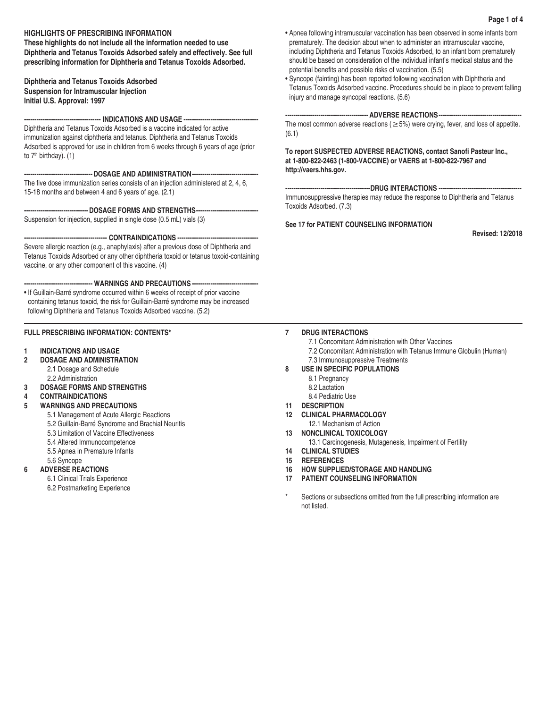# **HIGHLIGHTS OF PRESCRIBING INFORMATION**

**These highlights do not include all the information needed to use Diphtheria and Tetanus Toxoids Adsorbed safely and effectively. See full prescribing information for Diphtheria and Tetanus Toxoids Adsorbed.**

# **Diphtheria and Tetanus Toxoids Adsorbed Suspension for Intramuscular Injection Initial U.S. Approval: 1997**

**------------------------------------- INDICATIONS AND USAGE ------------------------------------**

Diphtheria and Tetanus Toxoids Adsorbed is a vaccine indicated for active immunization against diphtheria and tetanus. Diphtheria and Tetanus Toxoids Adsorbed is approved for use in children from 6 weeks through 6 years of age (prior to  $7<sup>th</sup>$  birthday). (1)

**---------------------------------DOSAGE AND ADMINISTRATION--------------------------------**

The five dose immunization series consists of an injection administered at 2, 4, 6, 15-18 months and between 4 and 6 years of age. (2.1)

----DOSAGE FORMS AND STRENGTHS---

Suspension for injection, supplied in single dose (0.5 mL) vials (3)

**---------------------------------------- CONTRAINDICATIONS ---------------------------------------**

Severe allergic reaction (e.g., anaphylaxis) after a previous dose of Diphtheria and Tetanus Toxoids Adsorbed or any other diphtheria toxoid or tetanus toxoid-containing vaccine, or any other component of this vaccine. (4)

**--------------------------------- WARNINGS AND PRECAUTIONS --------------------------------**

• If Guillain-Barré syndrome occurred within 6 weeks of receipt of prior vaccine containing tetanus toxoid, the risk for Guillain-Barré syndrome may be increased following Diphtheria and Tetanus Toxoids Adsorbed vaccine. (5.2)

# **FULL PRESCRIBING INFORMATION: CONTENTS\***

# **1 INDICATIONS AND USAGE**

- **2 DOSAGE AND ADMINISTRATION**
	- 2.1 Dosage and Schedule 2.2 Administration
- **3 DOSAGE FORMS AND STRENGTHS**
- **4 CONTRAINDICATIONS**

# **5 WARNINGS AND PRECAUTIONS**

- 5.1 Management of Acute Allergic Reactions
- 5.2 Guillain-Barré Syndrome and Brachial Neuritis
- 5.3 Limitation of Vaccine Effectiveness
- 5.4 Altered Immunocompetence
- 5.5 Apnea in Premature Infants
- 5.6 Syncope

# **6 ADVERSE REACTIONS**

6.1 Clinical Trials Experience

6.2 Postmarketing Experience

- Apnea following intramuscular vaccination has been observed in some infants born prematurely. The decision about when to administer an intramuscular vaccine, including Diphtheria and Tetanus Toxoids Adsorbed, to an infant born prematurely should be based on consideration of the individual infant's medical status and the potential benefits and possible risks of vaccination. (5.5)
- Syncope (fainting) has been reported following vaccination with Diphtheria and Tetanus Toxoids Adsorbed vaccine. Procedures should be in place to prevent falling injury and manage syncopal reactions. (5.6)

# **---------------------------------------- ADVERSE REACTIONS----------------------------------------**

The most common adverse reactions ( $\geq$  5%) were crying, fever, and loss of appetite. (6.1)

**To report SUSPECTED ADVERSE REACTIONS, contact Sanofi Pasteur Inc., at 1-800-822-2463 (1-800-VACCINE) or VAERS at 1-800-822-7967 and http://vaers.hhs.gov.**

**-----------------------------------------DRUG INTERACTIONS ----------------------------------------** Immunosuppressive therapies may reduce the response to Diphtheria and Tetanus Toxoids Adsorbed. (7.3)

# **See 17 for PATIENT COUNSELING INFORMATION**

**Revised: 12/2018** 

# **7 DRUG INTERACTIONS**

- 7.1 Concomitant Administration with Other Vaccines
- 7.2 Concomitant Administration with Tetanus Immune Globulin (Human) 7.3 Immunosuppressive Treatments
- **8 USE IN SPECIFIC POPULATIONS**
	- 8.1 Pregnancy
	- 8.2 Lactation
	- 8.4 Pediatric Use
- **11 DESCRIPTION**
- **12 CLINICAL PHARMACOLOGY**
- 12.1 Mechanism of Action
- **13 NONCLINICAL TOXICOLOGY**
	- 13.1 Carcinogenesis, Mutagenesis, Impairment of Fertility
- **14 CLINICAL STUDIES**
- **15 REFERENCES**
- **16 HOW SUPPLIED/STORAGE AND HANDLING**
- **17 PATIENT COUNSELING INFORMATION**
- Sections or subsections omitted from the full prescribing information are not listed.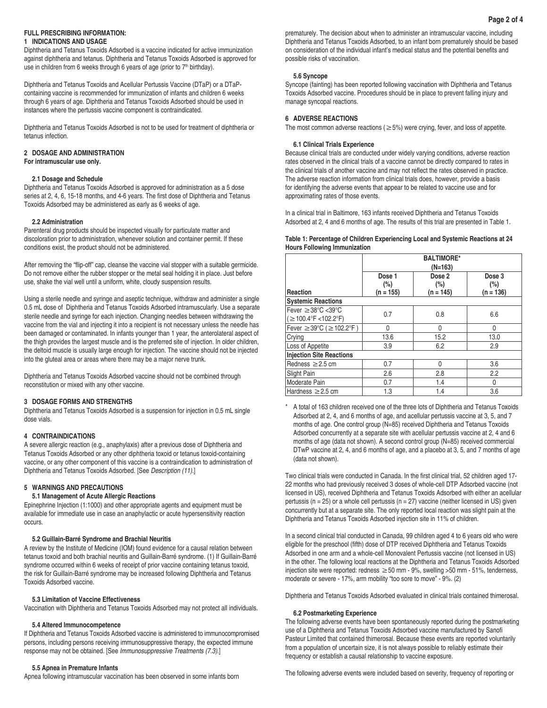### **FULL PRESCRIBING INFORMATION: 1 INDICATIONS AND USAGE**

Diphtheria and Tetanus Toxoids Adsorbed is a vaccine indicated for active immunization against diphtheria and tetanus. Diphtheria and Tetanus Toxoids Adsorbed is approved for use in children from 6 weeks through 6 years of age (prior to  $7<sup>th</sup>$  birthday).

Diphtheria and Tetanus Toxoids and Acellular Pertussis Vaccine (DTaP) or a DTaPcontaining vaccine is recommended for immunization of infants and children 6 weeks through 6 years of age. Diphtheria and Tetanus Toxoids Adsorbed should be used in instances where the pertussis vaccine component is contraindicated.

Diphtheria and Tetanus Toxoids Adsorbed is not to be used for treatment of diphtheria or tetanus infection.

# **2 DOSAGE AND ADMINISTRATION**

**For intramuscular use only.**

# **2.1 Dosage and Schedule**

Diphtheria and Tetanus Toxoids Adsorbed is approved for administration as a 5 dose series at 2, 4, 6, 15-18 months, and 4-6 years. The first dose of Diphtheria and Tetanus Toxoids Adsorbed may be administered as early as 6 weeks of age.

# **2.2 Administration**

Parenteral drug products should be inspected visually for particulate matter and discoloration prior to administration, whenever solution and container permit. If these conditions exist, the product should not be administered.

After removing the "flip-off" cap, cleanse the vaccine vial stopper with a suitable germicide. Do not remove either the rubber stopper or the metal seal holding it in place. Just before use, shake the vial well until a uniform, white, cloudy suspension results.

Using a sterile needle and syringe and aseptic technique, withdraw and administer a single 0.5 mL dose of Diphtheria and Tetanus Toxoids Adsorbed intramuscularly. Use a separate sterile needle and syringe for each injection. Changing needles between withdrawing the vaccine from the vial and injecting it into a recipient is not necessary unless the needle has been damaged or contaminated. In infants younger than 1 year, the anterolateral aspect of the thigh provides the largest muscle and is the preferred site of injection. In older children, the deltoid muscle is usually large enough for injection. The vaccine should not be injected into the gluteal area or areas where there may be a major nerve trunk.

Diphtheria and Tetanus Toxoids Adsorbed vaccine should not be combined through reconstitution or mixed with any other vaccine.

# **3 DOSAGE FORMS AND STRENGTHS**

Diphtheria and Tetanus Toxoids Adsorbed is a suspension for injection in 0.5 mL single dose vials.

# **4 CONTRAINDICATIONS**

A severe allergic reaction (e.g., anaphylaxis) after a previous dose of Diphtheria and Tetanus Toxoids Adsorbed or any other diphtheria toxoid or tetanus toxoid-containing vaccine, or any other component of this vaccine is a contraindication to administration of Diphtheria and Tetanus Toxoids Adsorbed. [See *Description (11)*.]

# **5 WARNINGS AND PRECAUTIONS**

# **5.1 Management of Acute Allergic Reactions**

Epinephrine Injection (1:1000) and other appropriate agents and equipment must be available for immediate use in case an anaphylactic or acute hypersensitivity reaction occurs.

### **5.2 Guillain-Barré Syndrome and Brachial Neuritis**

A review by the Institute of Medicine (IOM) found evidence for a causal relation between tetanus toxoid and both brachial neuritis and Guillain-Barré syndrome. (1) If Guillain-Barré syndrome occurred within 6 weeks of receipt of prior vaccine containing tetanus toxoid, the risk for Guillain-Barré syndrome may be increased following Diphtheria and Tetanus Toxoids Adsorbed vaccine.

### **5.3 Limitation of Vaccine Effectiveness**

Vaccination with Diphtheria and Tetanus Toxoids Adsorbed may not protect all individuals.

### **5.4 Altered Immunocompetence**

If Diphtheria and Tetanus Toxoids Adsorbed vaccine is administered to immunocompromised persons, including persons receiving immunosuppressive therapy, the expected immune response may not be obtained. [See *Immunosuppressive Treatments (7.3)*.]

### **5.5 Apnea in Premature Infants**

Apnea following intramuscular vaccination has been observed in some infants born

prematurely. The decision about when to administer an intramuscular vaccine, including Diphtheria and Tetanus Toxoids Adsorbed, to an infant born prematurely should be based on consideration of the individual infant's medical status and the potential benefits and possible risks of vaccination.

### **5.6 Syncope**

Syncope (fainting) has been reported following vaccination with Diphtheria and Tetanus Toxoids Adsorbed vaccine. Procedures should be in place to prevent falling injury and manage syncopal reactions.

### **6 ADVERSE REACTIONS**

The most common adverse reactions ( $\geq$  5%) were crying, fever, and loss of appetite.

### **6.1 Clinical Trials Experience**

Because clinical trials are conducted under widely varying conditions, adverse reaction rates observed in the clinical trials of a vaccine cannot be directly compared to rates in the clinical trials of another vaccine and may not reflect the rates observed in practice. The adverse reaction information from clinical trials does, however, provide a basis for identifying the adverse events that appear to be related to vaccine use and for approximating rates of those events.

In a clinical trial in Baltimore, 163 infants received Diphtheria and Tetanus Toxoids Adsorbed at 2, 4 and 6 months of age. The results of this trial are presented in Table 1.

### **Table 1: Percentage of Children Experiencing Local and Systemic Reactions at 24 Hours Following Immunization**

|                                                        | <b>BALTIMORE*</b><br>$(N=163)$ |                                 |                                 |
|--------------------------------------------------------|--------------------------------|---------------------------------|---------------------------------|
| Reaction                                               | Dose 1<br>(%)<br>$(n = 155)$   | Dose 2<br>$(\%)$<br>$(n = 145)$ | Dose 3<br>$(\%)$<br>$(n = 136)$ |
| <b>Systemic Reactions</b>                              |                                |                                 |                                 |
| Fever $\geq$ 38°C <39°C<br>$( \geq 100.4$ °F <102.2°F) | 0.7                            | 0.8                             | 6.6                             |
| Fever $\geq$ 39°C ( $\geq$ 102.2°F)                    | 0                              | $\Omega$                        | $\Omega$                        |
| Crying                                                 | 13.6                           | 15.2                            | 13.0                            |
| Loss of Appetite                                       | 3.9                            | 6.2                             | 2.9                             |
| <b>Injection Site Reactions</b>                        |                                |                                 |                                 |
| Redness $\geq$ 2.5 cm                                  | 0.7                            | 0                               | 3.6                             |
| Slight Pain                                            | 2.6                            | 2.8                             | 2.2                             |
| Moderate Pain                                          | 0.7                            | 1.4                             | 0                               |
| Hardness $\geq$ 2.5 cm                                 | 1.3                            | 1.4                             | 3.6                             |

\* A total of 163 children received one of the three lots of Diphtheria and Tetanus Toxoids Adsorbed at 2, 4, and 6 months of age, and acellular pertussis vaccine at 3, 5, and 7 months of age. One control group (N=85) received Diphtheria and Tetanus Toxoids Adsorbed concurrently at a separate site with acellular pertussis vaccine at 2, 4 and 6 months of age (data not shown). A second control group (N=85) received commercial DTwP vaccine at 2, 4, and 6 months of age, and a placebo at 3, 5, and 7 months of age (data not shown).

Two clinical trials were conducted in Canada. In the first clinical trial, 52 children aged 17- 22 months who had previously received 3 doses of whole-cell DTP Adsorbed vaccine (not licensed in US), received Diphtheria and Tetanus Toxoids Adsorbed with either an acellular pertussis ( $n = 25$ ) or a whole cell pertussis ( $n = 27$ ) vaccine (neither licensed in US) given concurrently but at a separate site. The only reported local reaction was slight pain at the Diphtheria and Tetanus Toxoids Adsorbed injection site in 11% of children.

In a second clinical trial conducted in Canada, 99 children aged 4 to 6 years old who were eligible for the preschool (fifth) dose of DTP received Diphtheria and Tetanus Toxoids Adsorbed in one arm and a whole-cell Monovalent Pertussis vaccine (not licensed in US) in the other. The following local reactions at the Diphtheria and Tetanus Toxoids Adsorbed injection site were reported: redness  $\geq$  50 mm - 9%, swelling > 50 mm - 51%, tenderness, moderate or severe - 17%, arm mobility "too sore to move" - 9%. (2)

Diphtheria and Tetanus Toxoids Adsorbed evaluated in clinical trials contained thimerosal.

### **6.2 Postmarketing Experience**

The following adverse events have been spontaneously reported during the postmarketing use of a Diphtheria and Tetanus Toxoids Adsorbed vaccine manufactured by Sanofi Pasteur Limited that contained thimerosal. Because these events are reported voluntarily from a population of uncertain size, it is not always possible to reliably estimate their frequency or establish a causal relationship to vaccine exposure.

The following adverse events were included based on severity, frequency of reporting or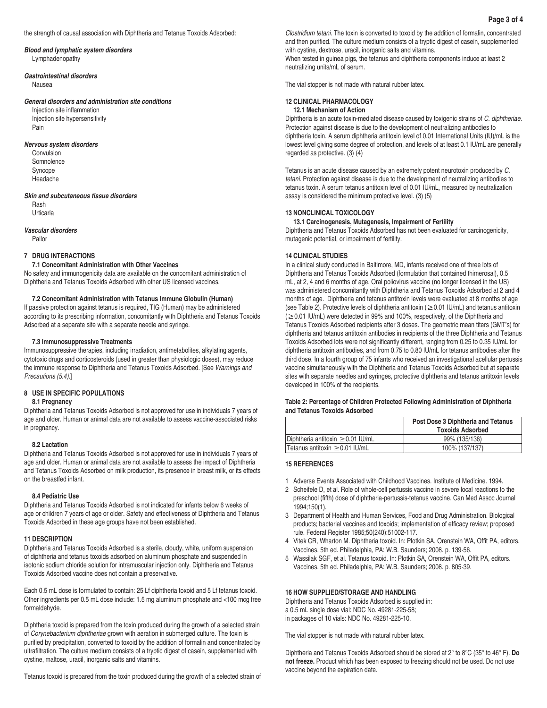# *Blood and lymphatic system disorders*

Lymphadenopathy

### *Gastrointestinal disorders*

Nausea

#### *General disorders and administration site conditions*

Injection site inflammation Injection site hypersensitivity Pain

#### *Nervous system disorders*

Convulsion Somnolence Syncope Headache

#### *Skin and subcutaneous tissue disorders*

Rash Urticaria

### *Vascular disorders*

Pallor

# **7 DRUG INTERACTIONS**

### **7.1 Concomitant Administration with Other Vaccines**

No safety and immunogenicity data are available on the concomitant administration of Diphtheria and Tetanus Toxoids Adsorbed with other US licensed vaccines.

### **7.2 Concomitant Administration with Tetanus Immune Globulin (Human)**

If passive protection against tetanus is required, TIG (Human) may be administered according to its prescribing information, concomitantly with Diphtheria and Tetanus Toxoids Adsorbed at a separate site with a separate needle and syringe.

#### **7.3 Immunosuppressive Treatments**

Immunosuppressive therapies, including irradiation, antimetabolites, alkylating agents, cytotoxic drugs and corticosteroids (used in greater than physiologic doses), may reduce the immune response to Diphtheria and Tetanus Toxoids Adsorbed. [See *Warnings and Precautions (5.4)*.]

# **8 USE IN SPECIFIC POPULATIONS**

# **8.1 Pregnancy**

Diphtheria and Tetanus Toxoids Adsorbed is not approved for use in individuals 7 years of age and older. Human or animal data are not available to assess vaccine-associated risks in pregnancy.

#### **8.2 Lactation**

Diphtheria and Tetanus Toxoids Adsorbed is not approved for use in individuals 7 years of age and older. Human or animal data are not available to assess the impact of Diphtheria and Tetanus Toxoids Adsorbed on milk production, its presence in breast milk, or its effects on the breastfed infant.

### **8.4 Pediatric Use**

Diphtheria and Tetanus Toxoids Adsorbed is not indicated for infants below 6 weeks of age or children 7 years of age or older. Safety and effectiveness of Diphtheria and Tetanus Toxoids Adsorbed in these age groups have not been established.

### **11 DESCRIPTION**

Diphtheria and Tetanus Toxoids Adsorbed is a sterile, cloudy, white, uniform suspension of diphtheria and tetanus toxoids adsorbed on aluminum phosphate and suspended in isotonic sodium chloride solution for intramuscular injection only. Diphtheria and Tetanus Toxoids Adsorbed vaccine does not contain a preservative.

Each 0.5 mL dose is formulated to contain: 25 Lf diphtheria toxoid and 5 Lf tetanus toxoid. Other ingredients per 0.5 mL dose include: 1.5 mg aluminum phosphate and <100 mcg free formaldehyde.

Diphtheria toxoid is prepared from the toxin produced during the growth of a selected strain of *Corynebacterium diphtheriae* grown with aeration in submerged culture. The toxin is purified by precipitation, converted to toxoid by the addition of formalin and concentrated by ultrafiltration. The culture medium consists of a tryptic digest of casein, supplemented with cystine, maltose, uracil, inorganic salts and vitamins.

Tetanus toxoid is prepared from the toxin produced during the growth of a selected strain of

*Clostridium tetani*. The toxin is converted to toxoid by the addition of formalin, concentrated and then purified. The culture medium consists of a tryptic digest of casein, supplemented with cystine, dextrose, uracil, inorganic salts and vitamins.

When tested in guinea pigs, the tetanus and diphtheria components induce at least 2 neutralizing units/mL of serum.

The vial stopper is not made with natural rubber latex.

#### **12 CLINICAL PHARMACOLOGY 12.1 Mechanism of Action**

Diphtheria is an acute toxin-mediated disease caused by toxigenic strains of *C. diphtheriae*. Protection against disease is due to the development of neutralizing antibodies to diphtheria toxin. A serum diphtheria antitoxin level of 0.01 International Units (IU)/mL is the lowest level giving some degree of protection, and levels of at least 0.1 IU/mL are generally regarded as protective. (3) (4)

Tetanus is an acute disease caused by an extremely potent neurotoxin produced by *C. tetani*. Protection against disease is due to the development of neutralizing antibodies to tetanus toxin. A serum tetanus antitoxin level of 0.01 IU/mL, measured by neutralization assay is considered the minimum protective level. (3) (5)

### **13 NONCLINICAL TOXICOLOGY**

**13.1 Carcinogenesis, Mutagenesis, Impairment of Fertility** Diphtheria and Tetanus Toxoids Adsorbed has not been evaluated for carcinogenicity, mutagenic potential, or impairment of fertility.

### **14 CLINICAL STUDIES**

In a clinical study conducted in Baltimore, MD, infants received one of three lots of Diphtheria and Tetanus Toxoids Adsorbed (formulation that contained thimerosal), 0.5 mL, at 2, 4 and 6 months of age. Oral poliovirus vaccine (no longer licensed in the US) was administered concomitantly with Diphtheria and Tetanus Toxoids Adsorbed at 2 and 4 months of age. Diphtheria and tetanus antitoxin levels were evaluated at 8 months of age (see Table 2). Protective levels of diphtheria antitoxin ( $\geq$  0.01 IU/mL) and tetanus antitoxin (≥0.01 IU/mL) were detected in 99% and 100%, respectively, of the Diphtheria and Tetanus Toxoids Adsorbed recipients after 3 doses. The geometric mean titers (GMT's) for diphtheria and tetanus antitoxin antibodies in recipients of the three Diphtheria and Tetanus Toxoids Adsorbed lots were not significantly different, ranging from 0.25 to 0.35 IU/mL for diphtheria antitoxin antibodies, and from 0.75 to 0.80 IU/mL for tetanus antibodies after the third dose. In a fourth group of 75 infants who received an investigational acellular pertussis vaccine simultaneously with the Diphtheria and Tetanus Toxoids Adsorbed but at separate sites with separate needles and syringes, protective diphtheria and tetanus antitoxin levels developed in 100% of the recipients.

### **Table 2: Percentage of Children Protected Following Administration of Diphtheria and Tetanus Toxoids Adsorbed**

|                                        | Post Dose 3 Diphtheria and Tetanus<br><b>Toxoids Adsorbed</b> |
|----------------------------------------|---------------------------------------------------------------|
| Diphtheria antitoxin $\geq$ 0.01 IU/mL | 99% (135/136)                                                 |
| lTetanus antitoxin ≥0.01 IU/mL         | 100% (137/137)                                                |

### **15 REFERENCES**

- 1 Adverse Events Associated with Childhood Vaccines. Institute of Medicine. 1994.
- 2 Scheifele D, et al. Role of whole-cell pertussis vaccine in severe local reactions to the preschool (fifth) dose of diphtheria-pertussis-tetanus vaccine. Can Med Assoc Journal 1994;150(1).
- 3 Department of Health and Human Services, Food and Drug Administration. Biological products; bacterial vaccines and toxoids; implementation of efficacy review; proposed rule. Federal Register 1985;50(240):51002-117.
- 4 Vitek CR, Wharton M. Diphtheria toxoid. In: Plotkin SA, Orenstein WA, Offit PA, editors. Vaccines. 5th ed. Philadelphia, PA: W.B. Saunders; 2008. p. 139-56.
- 5 Wassilak SGF, et al. Tetanus toxoid. In: Plotkin SA, Orenstein WA, Offit PA, editors. Vaccines. 5th ed. Philadelphia, PA: W.B. Saunders; 2008. p. 805-39.

#### **16 HOW SUPPLIED/STORAGE AND HANDLING**

Diphtheria and Tetanus Toxoids Adsorbed is supplied in: a 0.5 mL single dose vial: NDC No. 49281-225-58; in packages of 10 vials: NDC No. 49281-225-10.

The vial stopper is not made with natural rubber latex.

Diphtheria and Tetanus Toxoids Adsorbed should be stored at 2° to 8°C (35° to 46° F). **Do not freeze.** Product which has been exposed to freezing should not be used. Do not use vaccine beyond the expiration date.